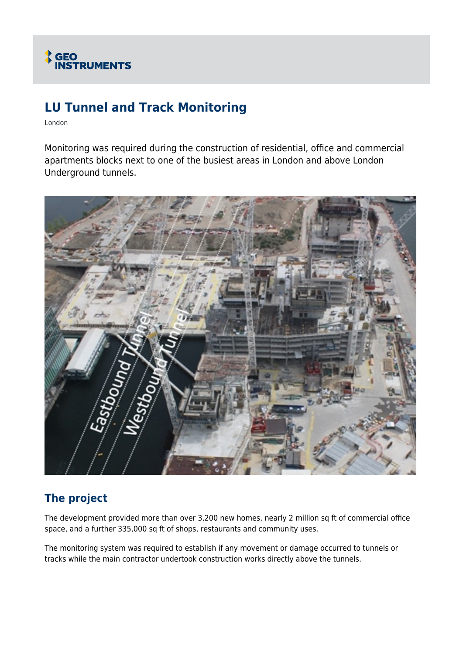

# **LU Tunnel and Track Monitoring**

London

Monitoring was required during the construction of residential, office and commercial apartments blocks next to one of the busiest areas in London and above London Underground tunnels.



## **The project**

The development provided more than over 3,200 new homes, nearly 2 million sq ft of commercial office space, and a further 335,000 sq ft of shops, restaurants and community uses.

The monitoring system was required to establish if any movement or damage occurred to tunnels or tracks while the main contractor undertook construction works directly above the tunnels.